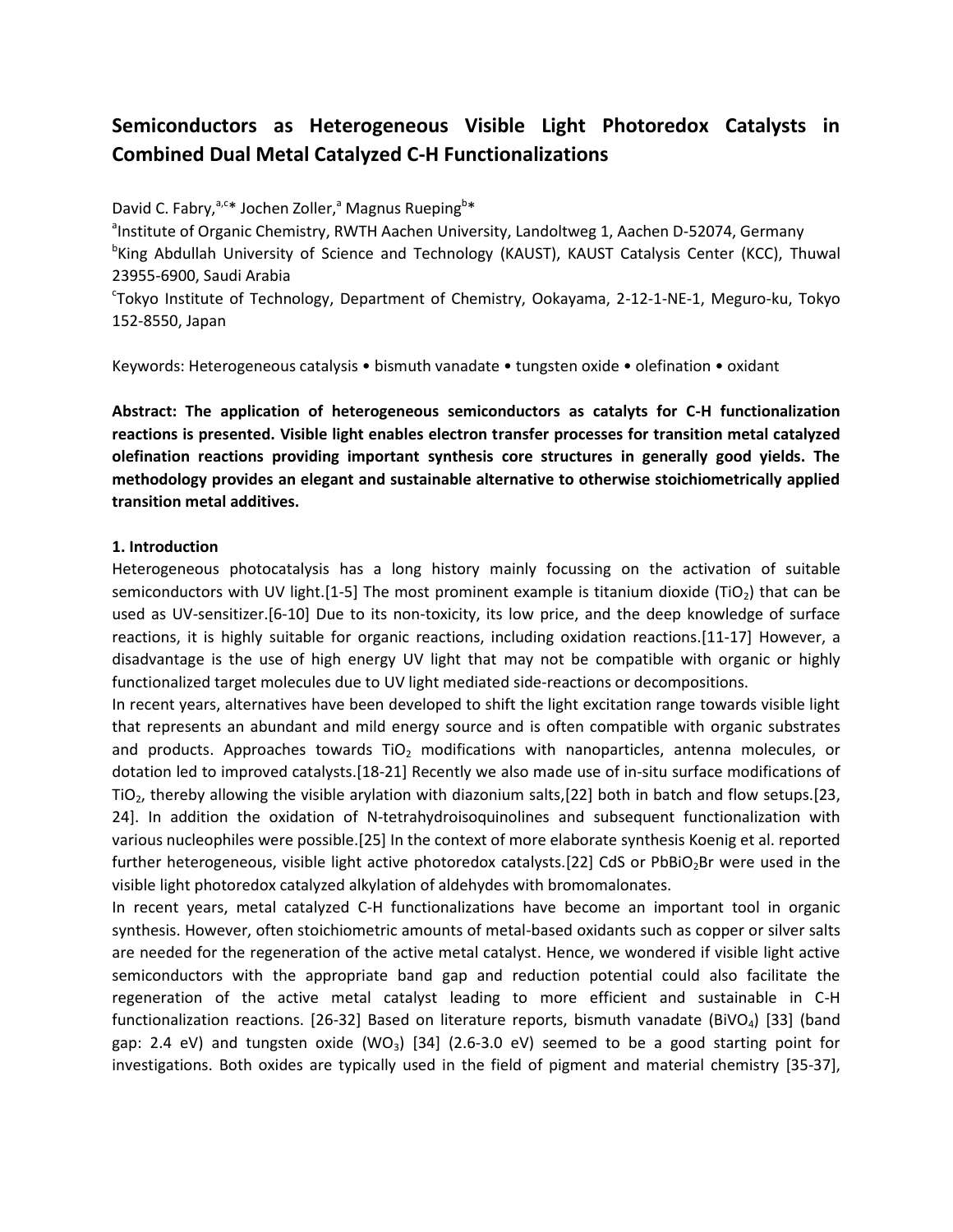# **Semiconductors as Heterogeneous Visible Light Photoredox Catalysts in Combined Dual Metal Catalyzed C-H Functionalizations**

David C. Fabry,<sup>a,c\*</sup> Jochen Zoller,<sup>a</sup> Magnus Rueping<sup>b\*</sup>

<sup>a</sup>Institute of Organic Chemistry, RWTH Aachen University, Landoltweg 1, Aachen D-52074, Germany <sup>b</sup>King Abdullah University of Science and Technology (KAUST), KAUST Catalysis Center (KCC), Thuwal 23955-6900, Saudi Arabia

c Tokyo Institute of Technology, Department of Chemistry, Ookayama, 2-12-1-NE-1, Meguro-ku, Tokyo 152-8550, Japan

Keywords: Heterogeneous catalysis • bismuth vanadate • tungsten oxide • olefination • oxidant

**Abstract: The application of heterogeneous semiconductors as catalyts for C-H functionalization reactions is presented. Visible light enables electron transfer processes for transition metal catalyzed olefination reactions providing important synthesis core structures in generally good yields. The methodology provides an elegant and sustainable alternative to otherwise stoichiometrically applied transition metal additives.** 

## **1. Introduction**

Heterogeneous photocatalysis has a long history mainly focussing on the activation of suitable semiconductors with UV light.[1-5] The most prominent example is titanium dioxide (TiO<sub>2</sub>) that can be used as UV-sensitizer.[6-10] Due to its non-toxicity, its low price, and the deep knowledge of surface reactions, it is highly suitable for organic reactions, including oxidation reactions.[11-17] However, a disadvantage is the use of high energy UV light that may not be compatible with organic or highly functionalized target molecules due to UV light mediated side-reactions or decompositions.

In recent years, alternatives have been developed to shift the light excitation range towards visible light that represents an abundant and mild energy source and is often compatible with organic substrates and products. Approaches towards  $TiO<sub>2</sub>$  modifications with nanoparticles, antenna molecules, or dotation led to improved catalysts.[18-21] Recently we also made use of in-situ surface modifications of TiO<sub>2</sub>, thereby allowing the visible arylation with diazonium salts,[22] both in batch and flow setups.[23, 24]. In addition the oxidation of N-tetrahydroisoquinolines and subsequent functionalization with various nucleophiles were possible.[25] In the context of more elaborate synthesis Koenig et al. reported further heterogeneous, visible light active photoredox catalysts.[22] CdS or PbBiO<sub>2</sub>Br were used in the visible light photoredox catalyzed alkylation of aldehydes with bromomalonates.

In recent years, metal catalyzed C-H functionalizations have become an important tool in organic synthesis. However, often stoichiometric amounts of metal-based oxidants such as copper or silver salts are needed for the regeneration of the active metal catalyst. Hence, we wondered if visible light active semiconductors with the appropriate band gap and reduction potential could also facilitate the regeneration of the active metal catalyst leading to more efficient and sustainable in C-H functionalization reactions. [26-32] Based on literature reports, bismuth vanadate (BiVO<sub>4</sub>) [33] (band gap: 2.4 eV) and tungsten oxide (WO<sub>3</sub>) [34] (2.6-3.0 eV) seemed to be a good starting point for investigations. Both oxides are typically used in the field of pigment and material chemistry [35-37],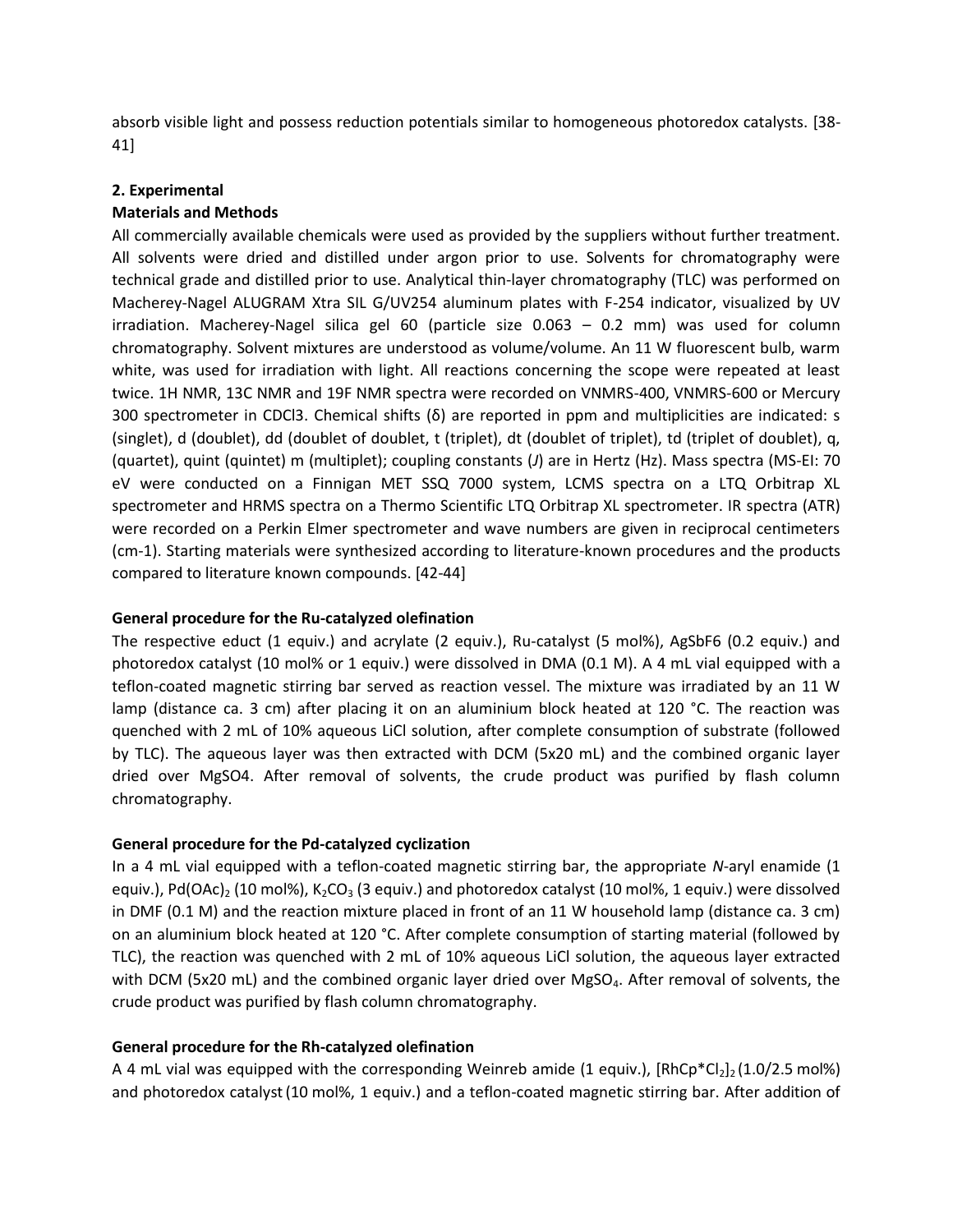absorb visible light and possess reduction potentials similar to homogeneous photoredox catalysts. [38- 41]

#### **2. Experimental**

## **Materials and Methods**

All commercially available chemicals were used as provided by the suppliers without further treatment. All solvents were dried and distilled under argon prior to use. Solvents for chromatography were technical grade and distilled prior to use. Analytical thin-layer chromatography (TLC) was performed on Macherey-Nagel ALUGRAM Xtra SIL G/UV254 aluminum plates with F-254 indicator, visualized by UV irradiation. Macherey-Nagel silica gel 60 (particle size 0.063 – 0.2 mm) was used for column chromatography. Solvent mixtures are understood as volume/volume. An 11 W fluorescent bulb, warm white, was used for irradiation with light. All reactions concerning the scope were repeated at least twice. 1H NMR, 13C NMR and 19F NMR spectra were recorded on VNMRS-400, VNMRS-600 or Mercury 300 spectrometer in CDCl3. Chemical shifts (δ) are reported in ppm and multiplicities are indicated: s (singlet), d (doublet), dd (doublet of doublet, t (triplet), dt (doublet of triplet), td (triplet of doublet), q, (quartet), quint (quintet) m (multiplet); coupling constants (*J*) are in Hertz (Hz). Mass spectra (MS-EI: 70 eV were conducted on a Finnigan MET SSQ 7000 system, LCMS spectra on a LTQ Orbitrap XL spectrometer and HRMS spectra on a Thermo Scientific LTQ Orbitrap XL spectrometer. IR spectra (ATR) were recorded on a Perkin Elmer spectrometer and wave numbers are given in reciprocal centimeters (cm-1). Starting materials were synthesized according to literature-known procedures and the products compared to literature known compounds. [42-44]

#### **General procedure for the Ru-catalyzed olefination**

The respective educt (1 equiv.) and acrylate (2 equiv.), Ru-catalyst (5 mol%), AgSbF6 (0.2 equiv.) and photoredox catalyst (10 mol% or 1 equiv.) were dissolved in DMA (0.1 M). A 4 mL vial equipped with a teflon-coated magnetic stirring bar served as reaction vessel. The mixture was irradiated by an 11 W lamp (distance ca. 3 cm) after placing it on an aluminium block heated at 120 °C. The reaction was quenched with 2 mL of 10% aqueous LiCl solution, after complete consumption of substrate (followed by TLC). The aqueous layer was then extracted with DCM (5x20 mL) and the combined organic layer dried over MgSO4. After removal of solvents, the crude product was purified by flash column chromatography.

#### **General procedure for the Pd-catalyzed cyclization**

In a 4 mL vial equipped with a teflon-coated magnetic stirring bar, the appropriate *N*-aryl enamide (1 equiv.), Pd(OAc)<sub>2</sub> (10 mol%), K<sub>2</sub>CO<sub>3</sub> (3 equiv.) and photoredox catalyst (10 mol%, 1 equiv.) were dissolved in DMF (0.1 M) and the reaction mixture placed in front of an 11 W household lamp (distance ca. 3 cm) on an aluminium block heated at 120 °C. After complete consumption of starting material (followed by TLC), the reaction was quenched with 2 mL of 10% aqueous LiCl solution, the aqueous layer extracted with DCM (5x20 mL) and the combined organic layer dried over MgSO<sub>4</sub>. After removal of solvents, the crude product was purified by flash column chromatography.

#### **General procedure for the Rh-catalyzed olefination**

A 4 mL vial was equipped with the corresponding Weinreb amide (1 equiv.),  $[RhCp^*Cl_2]_2$  (1.0/2.5 mol%) and photoredox catalyst(10 mol%, 1 equiv.) and a teflon-coated magnetic stirring bar. After addition of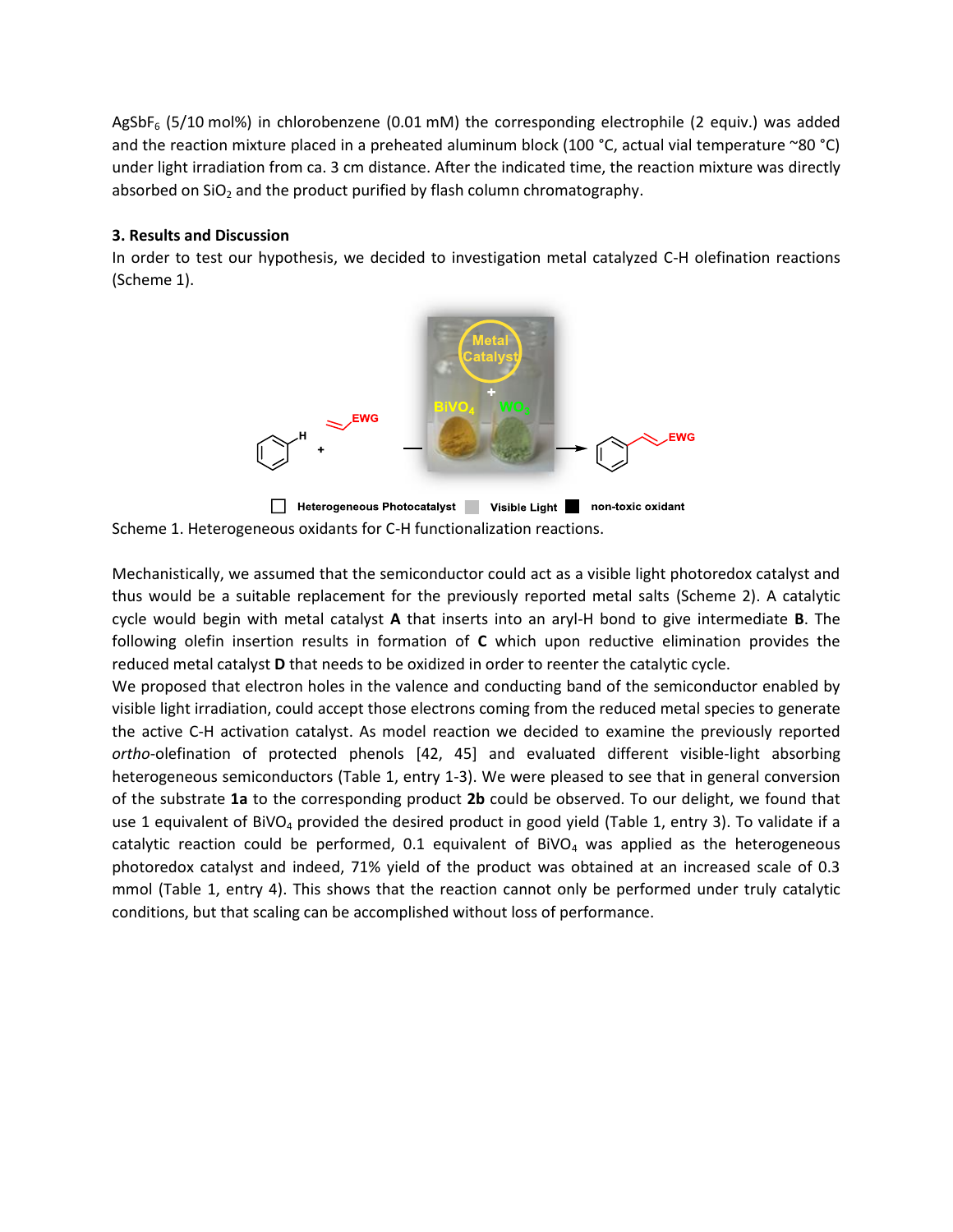AgSbF<sub>6</sub> (5/10 mol%) in chlorobenzene (0.01 mM) the corresponding electrophile (2 equiv.) was added and the reaction mixture placed in a preheated aluminum block (100 °C, actual vial temperature ~80 °C) under light irradiation from ca. 3 cm distance. After the indicated time, the reaction mixture was directly absorbed on  $SiO<sub>2</sub>$  and the product purified by flash column chromatography.

# **3. Results and Discussion**

In order to test our hypothesis, we decided to investigation metal catalyzed C-H olefination reactions (Scheme 1).



Scheme 1. Heterogeneous oxidants for C-H functionalization reactions.

Mechanistically, we assumed that the semiconductor could act as a visible light photoredox catalyst and thus would be a suitable replacement for the previously reported metal salts (Scheme 2). A catalytic cycle would begin with metal catalyst **A** that inserts into an aryl-H bond to give intermediate **B**. The following olefin insertion results in formation of **C** which upon reductive elimination provides the reduced metal catalyst **D** that needs to be oxidized in order to reenter the catalytic cycle.

We proposed that electron holes in the valence and conducting band of the semiconductor enabled by visible light irradiation, could accept those electrons coming from the reduced metal species to generate the active C-H activation catalyst. As model reaction we decided to examine the previously reported *ortho*-olefination of protected phenols [42, 45] and evaluated different visible-light absorbing heterogeneous semiconductors (Table 1, entry 1-3). We were pleased to see that in general conversion of the substrate **1a** to the corresponding product **2b** could be observed. To our delight, we found that use 1 equivalent of BiVO<sub>4</sub> provided the desired product in good yield (Table 1, entry 3). To validate if a catalytic reaction could be performed, 0.1 equivalent of BiVO<sub>4</sub> was applied as the heterogeneous photoredox catalyst and indeed, 71% yield of the product was obtained at an increased scale of 0.3 mmol (Table 1, entry 4). This shows that the reaction cannot only be performed under truly catalytic conditions, but that scaling can be accomplished without loss of performance.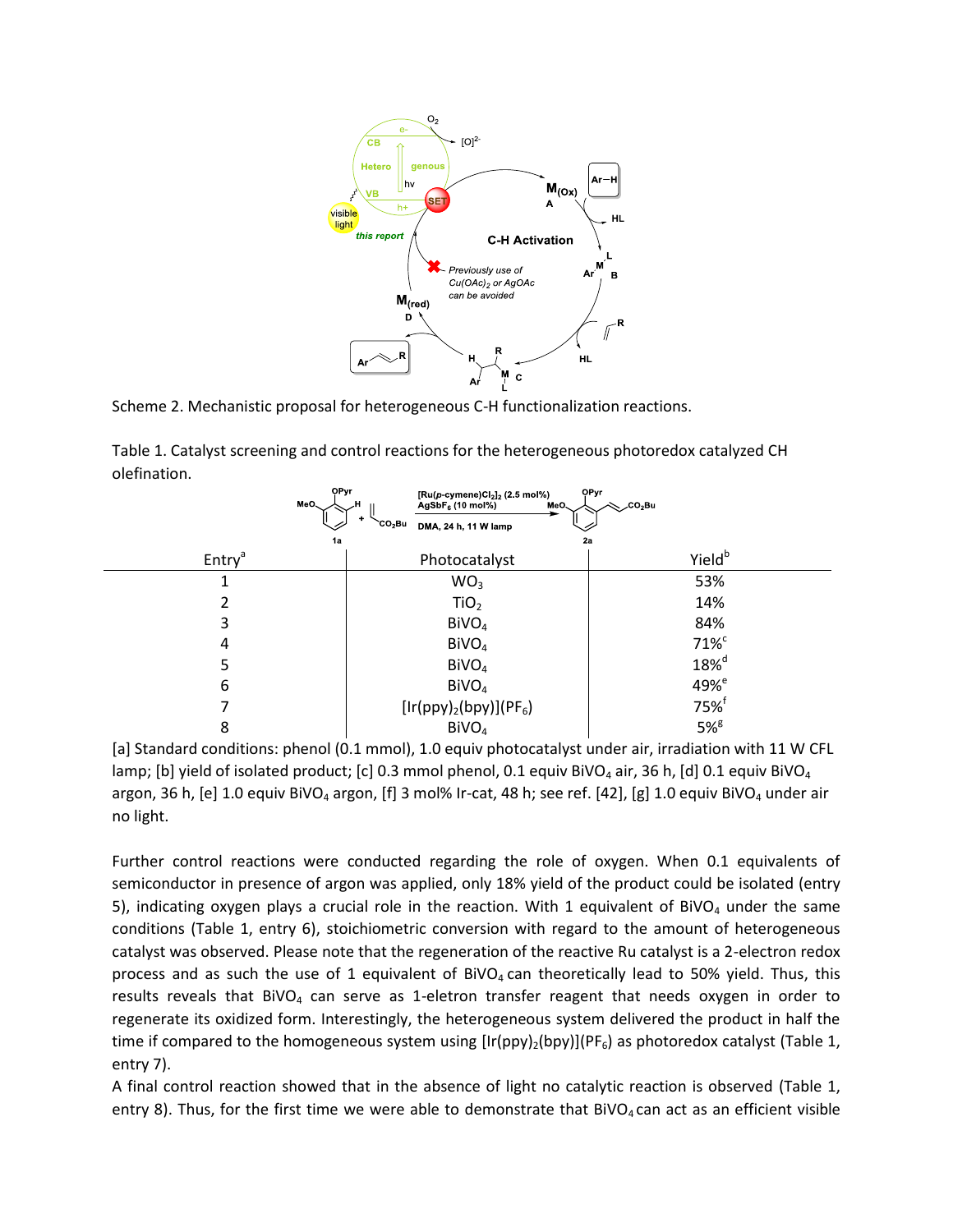

Scheme 2. Mechanistic proposal for heterogeneous C-H functionalization reactions.

Table 1. Catalyst screening and control reactions for the heterogeneous photoredox catalyzed CH olefination.

| OPyr<br>MeO              | $[Ru(p-cymene)Cl2]2$ (2.5 mol%)<br>AgSbF $_6$ (10 mol%)<br>MeO.<br>÷<br>`CO <sub>2</sub> Bu<br>DMA, 24 h, 11 W lamp | OPyr<br>CO <sub>2</sub> Bu |
|--------------------------|---------------------------------------------------------------------------------------------------------------------|----------------------------|
| 1a<br>Entry <sup>a</sup> | Photocatalyst                                                                                                       | 2a<br>Yield <sup>b</sup>   |
|                          | WO <sub>3</sub>                                                                                                     | 53%                        |
|                          | TiO <sub>2</sub>                                                                                                    | 14%                        |
| 3                        | BIVO <sub>4</sub>                                                                                                   | 84%                        |
| 4                        | BIVO <sub>4</sub>                                                                                                   | $71\%$ <sup>c</sup>        |
| 5                        | BiVO <sub>4</sub>                                                                                                   | $18\%$ <sup>d</sup>        |
| 6                        | BIVO <sub>4</sub>                                                                                                   | 49% <sup>e</sup>           |
|                          | $[lr(ppy)2(bpy)](PF6)$                                                                                              | $75%$ <sup>f</sup>         |
| 8                        | BIVO <sub>4</sub>                                                                                                   | $5\%$ <sup>g</sup>         |

[a] Standard conditions: phenol (0.1 mmol), 1.0 equiv photocatalyst under air, irradiation with 11 W CFL lamp; [b] yield of isolated product; [c] 0.3 mmol phenol, 0.1 equiv BiVO<sub>4</sub> air, 36 h, [d] 0.1 equiv BiVO<sub>4</sub> argon, 36 h, [e] 1.0 equiv BiVO<sub>4</sub> argon, [f] 3 mol% Ir-cat, 48 h; see ref. [42], [g] 1.0 equiv BiVO<sub>4</sub> under air no light.

Further control reactions were conducted regarding the role of oxygen. When 0.1 equivalents of semiconductor in presence of argon was applied, only 18% yield of the product could be isolated (entry 5), indicating oxygen plays a crucial role in the reaction. With 1 equivalent of BiVO<sub>4</sub> under the same conditions (Table 1, entry 6), stoichiometric conversion with regard to the amount of heterogeneous catalyst was observed. Please note that the regeneration of the reactive Ru catalyst is a 2-electron redox process and as such the use of 1 equivalent of BiVO<sub>4</sub> can theoretically lead to 50% yield. Thus, this results reveals that  $BiVO<sub>4</sub>$  can serve as 1-eletron transfer reagent that needs oxygen in order to regenerate its oxidized form. Interestingly, the heterogeneous system delivered the product in half the time if compared to the homogeneous system using  $[Ir(ppy)<sub>2</sub>(bpy)](PF<sub>6</sub>)$  as photoredox catalyst (Table 1, entry 7).

A final control reaction showed that in the absence of light no catalytic reaction is observed (Table 1, entry 8). Thus, for the first time we were able to demonstrate that  $Bivo_4$  can act as an efficient visible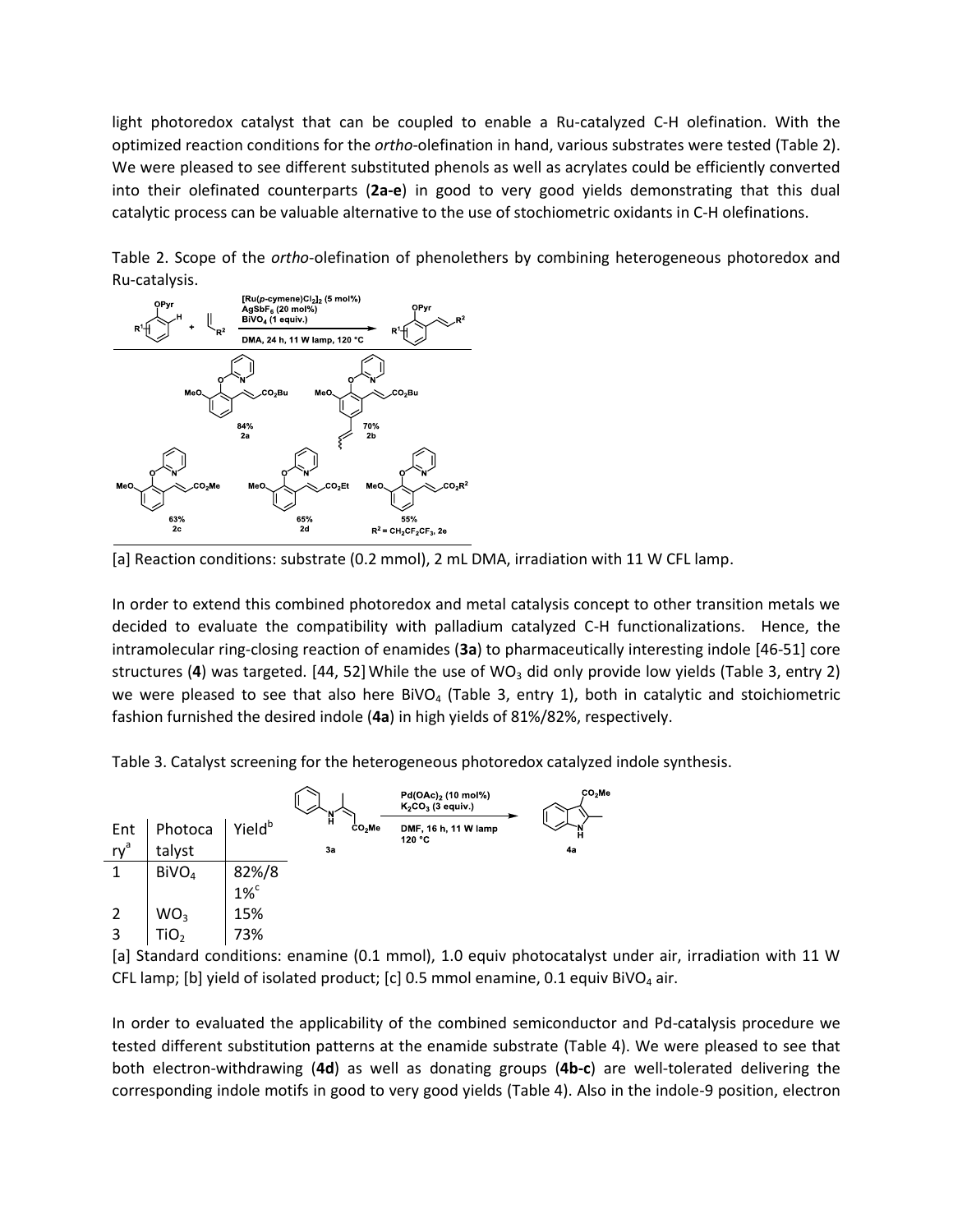light photoredox catalyst that can be coupled to enable a Ru-catalyzed C-H olefination. With the optimized reaction conditions for the *ortho*-olefination in hand, various substrates were tested (Table 2). We were pleased to see different substituted phenols as well as acrylates could be efficiently converted into their olefinated counterparts (**2a-e**) in good to very good yields demonstrating that this dual catalytic process can be valuable alternative to the use of stochiometric oxidants in C-H olefinations.





[a] Reaction conditions: substrate (0.2 mmol), 2 mL DMA, irradiation with 11 W CFL lamp.

In order to extend this combined photoredox and metal catalysis concept to other transition metals we decided to evaluate the compatibility with palladium catalyzed C-H functionalizations. Hence, the intramolecular ring-closing reaction of enamides (**3a**) to pharmaceutically interesting indole [46-51] core structures (4) was targeted. [44, 52] While the use of WO<sub>3</sub> did only provide low yields (Table 3, entry 2) we were pleased to see that also here BiVO<sub>4</sub> (Table 3, entry 1), both in catalytic and stoichiometric fashion furnished the desired indole (**4a**) in high yields of 81%/82%, respectively.

Table 3. Catalyst screening for the heterogeneous photoredox catalyzed indole synthesis.

|                       |                   |                    |    |                    | Pd(OAc) <sub>2</sub> (10 mol%)<br>$K_2CO_3$ (3 equiv.) | CO <sub>2</sub> Me |
|-----------------------|-------------------|--------------------|----|--------------------|--------------------------------------------------------|--------------------|
| $Ent$ ry <sup>a</sup> | Photoca           | Yield <sup>b</sup> | н  | CO <sub>2</sub> Me | DMF, 16 h, 11 W lamp<br>120 °C                         |                    |
|                       | talyst            |                    | 3a |                    |                                                        | 4a                 |
| 1                     | BIVO <sub>4</sub> | $82\%/8$<br>$1\%$  |    |                    |                                                        |                    |
|                       |                   |                    |    |                    |                                                        |                    |
| 2                     | WO <sub>3</sub>   | 15%                |    |                    |                                                        |                    |
| ς                     | TiO,              | 73%                |    |                    |                                                        |                    |

[a] Standard conditions: enamine (0.1 mmol), 1.0 equiv photocatalyst under air, irradiation with 11 W CFL lamp; [b] yield of isolated product; [c] 0.5 mmol enamine, 0.1 equiv BiVO<sub>4</sub> air.

In order to evaluated the applicability of the combined semiconductor and Pd-catalysis procedure we tested different substitution patterns at the enamide substrate (Table 4). We were pleased to see that both electron-withdrawing (**4d**) as well as donating groups (**4b-c**) are well-tolerated delivering the corresponding indole motifs in good to very good yields (Table 4). Also in the indole-9 position, electron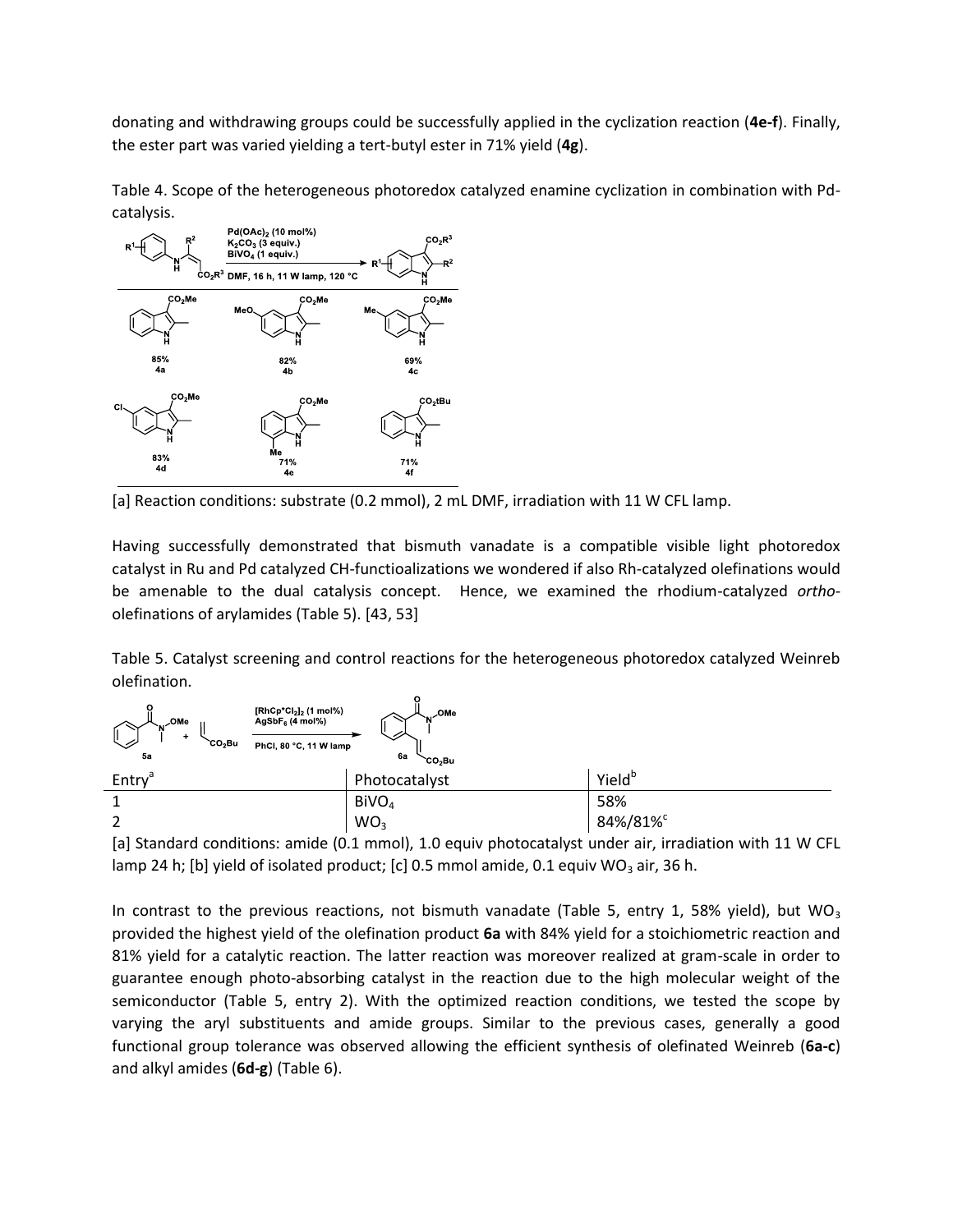donating and withdrawing groups could be successfully applied in the cyclization reaction (**4e-f**). Finally, the ester part was varied yielding a tert-butyl ester in 71% yield (**4g**).

Table 4. Scope of the heterogeneous photoredox catalyzed enamine cyclization in combination with Pdcatalysis.



[a] Reaction conditions: substrate (0.2 mmol), 2 mL DMF, irradiation with 11 W CFL lamp.

Having successfully demonstrated that bismuth vanadate is a compatible visible light photoredox catalyst in Ru and Pd catalyzed CH-functioalizations we wondered if also Rh-catalyzed olefinations would be amenable to the dual catalysis concept. Hence, we examined the rhodium-catalyzed *ortho*olefinations of arylamides (Table 5). [43, 53]

Table 5. Catalyst screening and control reactions for the heterogeneous photoredox catalyzed Weinreb olefination.



[a] Standard conditions: amide (0.1 mmol), 1.0 equiv photocatalyst under air, irradiation with 11 W CFL lamp 24 h; [b] yield of isolated product; [c] 0.5 mmol amide, 0.1 equiv WO<sub>3</sub> air, 36 h.

In contrast to the previous reactions, not bismuth vanadate (Table 5, entry 1, 58% yield), but WO<sub>3</sub> provided the highest yield of the olefination product **6a** with 84% yield for a stoichiometric reaction and 81% yield for a catalytic reaction. The latter reaction was moreover realized at gram-scale in order to guarantee enough photo-absorbing catalyst in the reaction due to the high molecular weight of the semiconductor (Table 5, entry 2). With the optimized reaction conditions, we tested the scope by varying the aryl substituents and amide groups. Similar to the previous cases, generally a good functional group tolerance was observed allowing the efficient synthesis of olefinated Weinreb (**6a-c**) and alkyl amides (**6d-g**) (Table 6).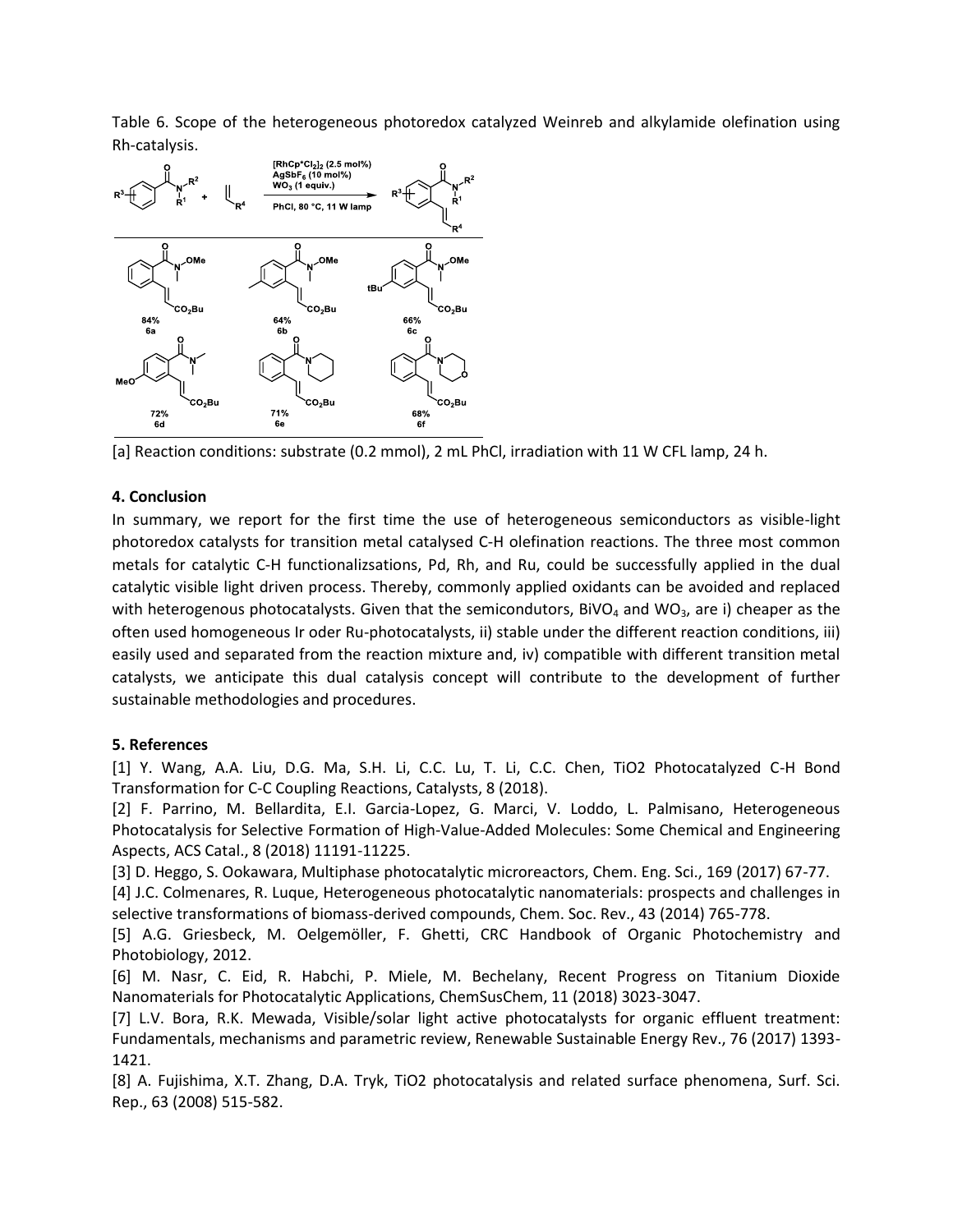Table 6. Scope of the heterogeneous photoredox catalyzed Weinreb and alkylamide olefination using Rh-catalysis.



[a] Reaction conditions: substrate (0.2 mmol), 2 mL PhCl, irradiation with 11 W CFL lamp, 24 h.

# **4. Conclusion**

In summary, we report for the first time the use of heterogeneous semiconductors as visible-light photoredox catalysts for transition metal catalysed C-H olefination reactions. The three most common metals for catalytic C-H functionalizsations, Pd, Rh, and Ru, could be successfully applied in the dual catalytic visible light driven process. Thereby, commonly applied oxidants can be avoided and replaced with heterogenous photocatalysts. Given that the semicondutors, BiVO<sub>4</sub> and WO<sub>3</sub>, are i) cheaper as the often used homogeneous Ir oder Ru-photocatalysts, ii) stable under the different reaction conditions, iii) easily used and separated from the reaction mixture and, iv) compatible with different transition metal catalysts, we anticipate this dual catalysis concept will contribute to the development of further sustainable methodologies and procedures.

# **5. References**

[1] Y. Wang, A.A. Liu, D.G. Ma, S.H. Li, C.C. Lu, T. Li, C.C. Chen, TiO2 Photocatalyzed C-H Bond Transformation for C-C Coupling Reactions, Catalysts, 8 (2018).

[2] F. Parrino, M. Bellardita, E.I. Garcia-Lopez, G. Marci, V. Loddo, L. Palmisano, Heterogeneous Photocatalysis for Selective Formation of High-Value-Added Molecules: Some Chemical and Engineering Aspects, ACS Catal., 8 (2018) 11191-11225.

[3] D. Heggo, S. Ookawara, Multiphase photocatalytic microreactors, Chem. Eng. Sci., 169 (2017) 67-77.

[4] J.C. Colmenares, R. Luque, Heterogeneous photocatalytic nanomaterials: prospects and challenges in selective transformations of biomass-derived compounds, Chem. Soc. Rev., 43 (2014) 765-778.

[5] A.G. Griesbeck, M. Oelgemöller, F. Ghetti, CRC Handbook of Organic Photochemistry and Photobiology, 2012.

[6] M. Nasr, C. Eid, R. Habchi, P. Miele, M. Bechelany, Recent Progress on Titanium Dioxide Nanomaterials for Photocatalytic Applications, ChemSusChem, 11 (2018) 3023-3047.

[7] L.V. Bora, R.K. Mewada, Visible/solar light active photocatalysts for organic effluent treatment: Fundamentals, mechanisms and parametric review, Renewable Sustainable Energy Rev., 76 (2017) 1393- 1421.

[8] A. Fujishima, X.T. Zhang, D.A. Tryk, TiO2 photocatalysis and related surface phenomena, Surf. Sci. Rep., 63 (2008) 515-582.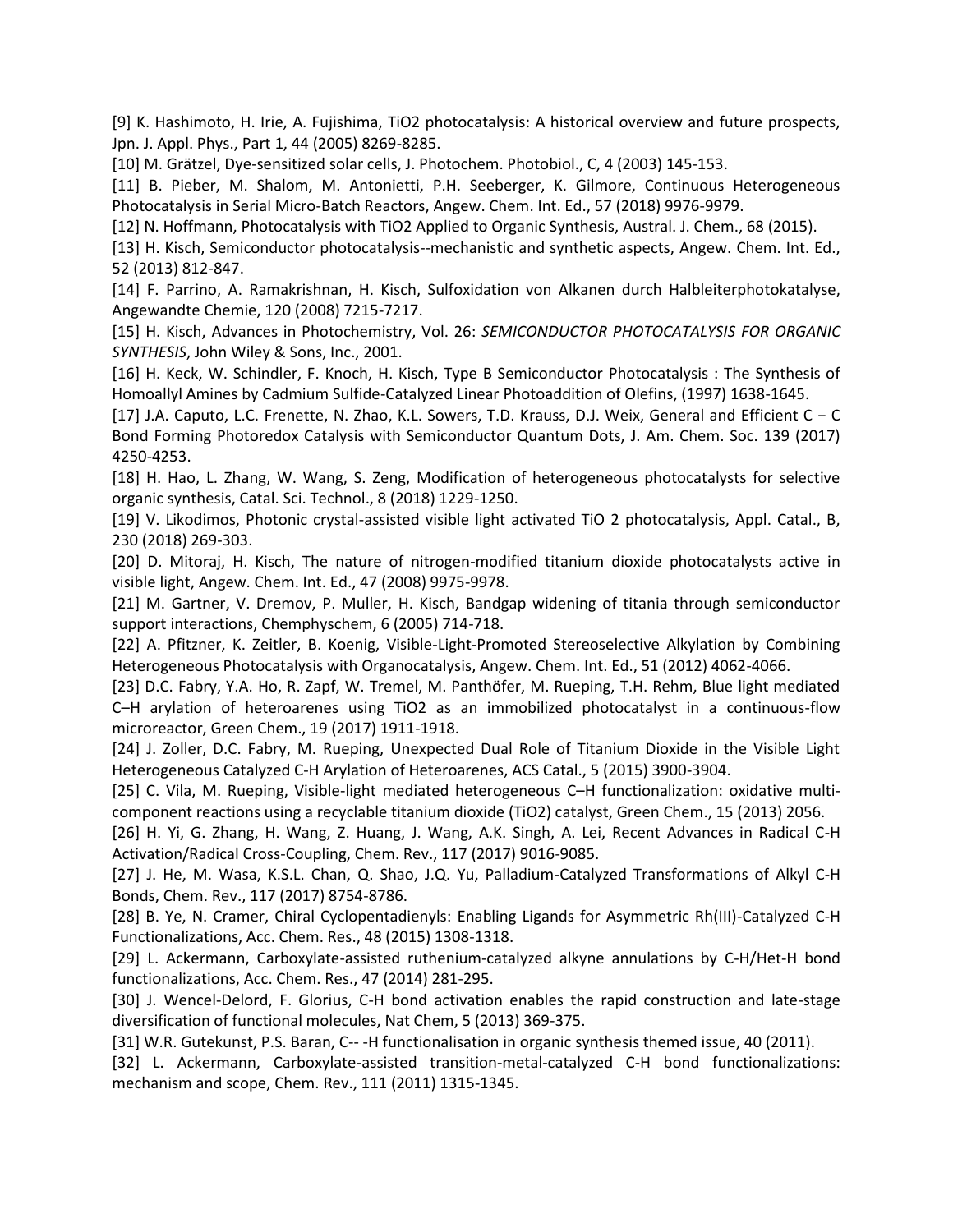[9] K. Hashimoto, H. Irie, A. Fujishima, TiO2 photocatalysis: A historical overview and future prospects, Jpn. J. Appl. Phys., Part 1, 44 (2005) 8269-8285.

[10] M. Grätzel, Dye-sensitized solar cells, J. Photochem. Photobiol., C, 4 (2003) 145-153.

[11] B. Pieber, M. Shalom, M. Antonietti, P.H. Seeberger, K. Gilmore, Continuous Heterogeneous Photocatalysis in Serial Micro-Batch Reactors, Angew. Chem. Int. Ed., 57 (2018) 9976-9979.

[12] N. Hoffmann, Photocatalysis with TiO2 Applied to Organic Synthesis, Austral. J. Chem., 68 (2015).

[13] H. Kisch, Semiconductor photocatalysis--mechanistic and synthetic aspects, Angew. Chem. Int. Ed., 52 (2013) 812-847.

[14] F. Parrino, A. Ramakrishnan, H. Kisch, Sulfoxidation von Alkanen durch Halbleiterphotokatalyse, Angewandte Chemie, 120 (2008) 7215-7217.

[15] H. Kisch, Advances in Photochemistry, Vol. 26: *SEMICONDUCTOR PHOTOCATALYSIS FOR ORGANIC SYNTHESIS*, John Wiley & Sons, Inc., 2001.

[16] H. Keck, W. Schindler, F. Knoch, H. Kisch, Type B Semiconductor Photocatalysis : The Synthesis of Homoallyl Amines by Cadmium Sulfide-Catalyzed Linear Photoaddition of Olefins, (1997) 1638-1645.

[17] J.A. Caputo, L.C. Frenette, N. Zhao, K.L. Sowers, T.D. Krauss, D.J. Weix, General and Efficient C − C Bond Forming Photoredox Catalysis with Semiconductor Quantum Dots, J. Am. Chem. Soc. 139 (2017) 4250-4253.

[18] H. Hao, L. Zhang, W. Wang, S. Zeng, Modification of heterogeneous photocatalysts for selective organic synthesis, Catal. Sci. Technol., 8 (2018) 1229-1250.

[19] V. Likodimos, Photonic crystal-assisted visible light activated TiO 2 photocatalysis, Appl. Catal., B, 230 (2018) 269-303.

[20] D. Mitoraj, H. Kisch, The nature of nitrogen-modified titanium dioxide photocatalysts active in visible light, Angew. Chem. Int. Ed., 47 (2008) 9975-9978.

[21] M. Gartner, V. Dremov, P. Muller, H. Kisch, Bandgap widening of titania through semiconductor support interactions, Chemphyschem, 6 (2005) 714-718.

[22] A. Pfitzner, K. Zeitler, B. Koenig, Visible-Light-Promoted Stereoselective Alkylation by Combining Heterogeneous Photocatalysis with Organocatalysis, Angew. Chem. Int. Ed., 51 (2012) 4062-4066.

[23] D.C. Fabry, Y.A. Ho, R. Zapf, W. Tremel, M. Panthöfer, M. Rueping, T.H. Rehm, Blue light mediated C–H arylation of heteroarenes using TiO2 as an immobilized photocatalyst in a continuous-flow microreactor, Green Chem., 19 (2017) 1911-1918.

[24] J. Zoller, D.C. Fabry, M. Rueping, Unexpected Dual Role of Titanium Dioxide in the Visible Light Heterogeneous Catalyzed C-H Arylation of Heteroarenes, ACS Catal., 5 (2015) 3900-3904.

[25] C. Vila, M. Rueping, Visible-light mediated heterogeneous C–H functionalization: oxidative multicomponent reactions using a recyclable titanium dioxide (TiO2) catalyst, Green Chem., 15 (2013) 2056.

[26] H. Yi, G. Zhang, H. Wang, Z. Huang, J. Wang, A.K. Singh, A. Lei, Recent Advances in Radical C-H Activation/Radical Cross-Coupling, Chem. Rev., 117 (2017) 9016-9085.

[27] J. He, M. Wasa, K.S.L. Chan, Q. Shao, J.Q. Yu, Palladium-Catalyzed Transformations of Alkyl C-H Bonds, Chem. Rev., 117 (2017) 8754-8786.

[28] B. Ye, N. Cramer, Chiral Cyclopentadienyls: Enabling Ligands for Asymmetric Rh(III)-Catalyzed C-H Functionalizations, Acc. Chem. Res., 48 (2015) 1308-1318.

[29] L. Ackermann, Carboxylate-assisted ruthenium-catalyzed alkyne annulations by C-H/Het-H bond functionalizations, Acc. Chem. Res., 47 (2014) 281-295.

[30] J. Wencel-Delord, F. Glorius, C-H bond activation enables the rapid construction and late-stage diversification of functional molecules, Nat Chem, 5 (2013) 369-375.

[31] W.R. Gutekunst, P.S. Baran, C-- -H functionalisation in organic synthesis themed issue, 40 (2011).

[32] L. Ackermann, Carboxylate-assisted transition-metal-catalyzed C-H bond functionalizations: mechanism and scope, Chem. Rev., 111 (2011) 1315-1345.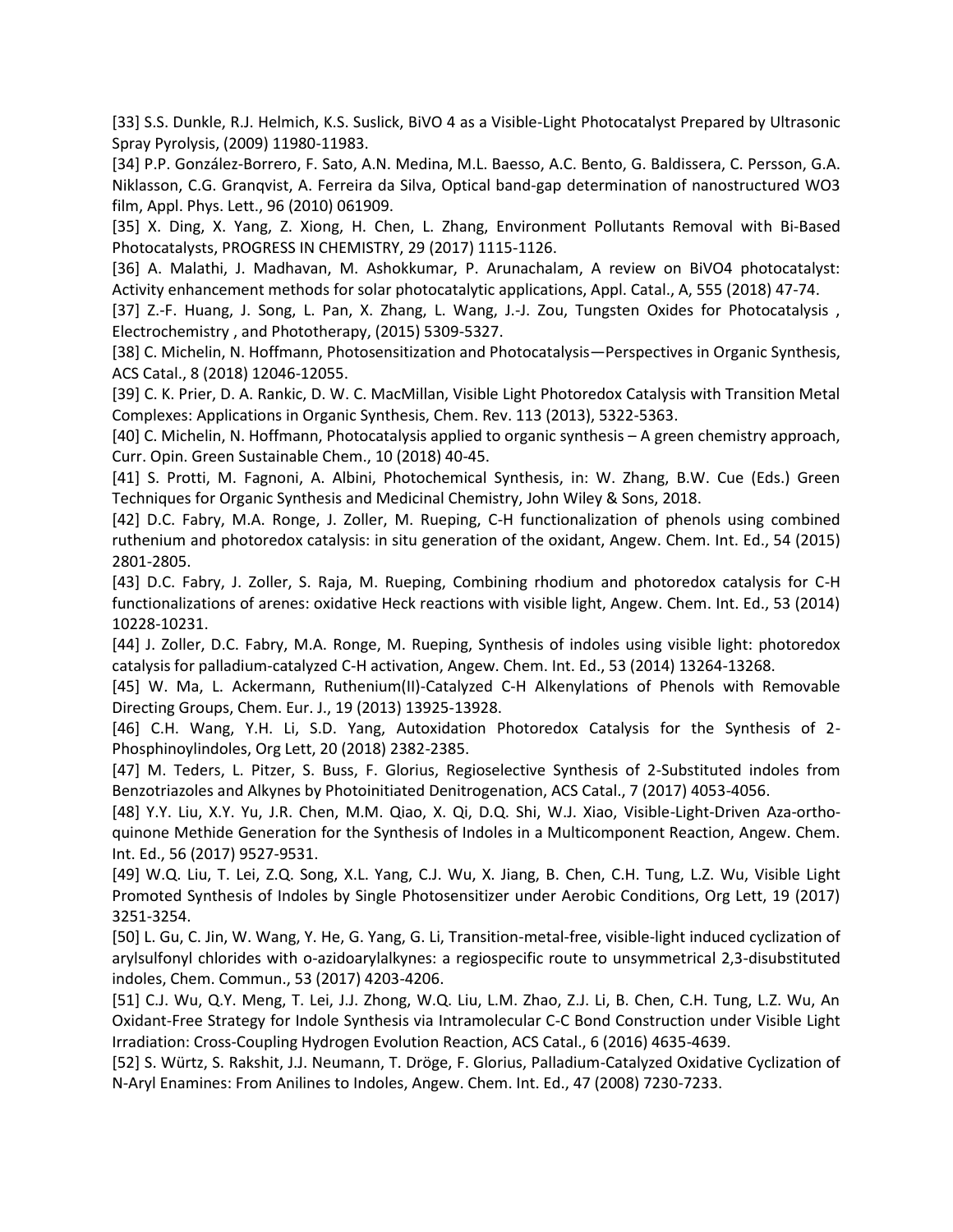[33] S.S. Dunkle, R.J. Helmich, K.S. Suslick, BiVO 4 as a Visible-Light Photocatalyst Prepared by Ultrasonic Spray Pyrolysis, (2009) 11980-11983.

[34] P.P. González-Borrero, F. Sato, A.N. Medina, M.L. Baesso, A.C. Bento, G. Baldissera, C. Persson, G.A. Niklasson, C.G. Granqvist, A. Ferreira da Silva, Optical band-gap determination of nanostructured WO3 film, Appl. Phys. Lett., 96 (2010) 061909.

[35] X. Ding, X. Yang, Z. Xiong, H. Chen, L. Zhang, Environment Pollutants Removal with Bi-Based Photocatalysts, PROGRESS IN CHEMISTRY, 29 (2017) 1115-1126.

[36] A. Malathi, J. Madhavan, M. Ashokkumar, P. Arunachalam, A review on BiVO4 photocatalyst: Activity enhancement methods for solar photocatalytic applications, Appl. Catal., A, 555 (2018) 47-74.

[37] Z.-F. Huang, J. Song, L. Pan, X. Zhang, L. Wang, J.-J. Zou, Tungsten Oxides for Photocatalysis , Electrochemistry , and Phototherapy, (2015) 5309-5327.

[38] C. Michelin, N. Hoffmann, Photosensitization and Photocatalysis—Perspectives in Organic Synthesis, ACS Catal., 8 (2018) 12046-12055.

[39] C. K. Prier, D. A. Rankic, D. W. C. MacMillan, Visible Light Photoredox Catalysis with Transition Metal Complexes: Applications in Organic Synthesis, Chem. Rev. 113 (2013), 5322-5363.

[40] C. Michelin, N. Hoffmann, Photocatalysis applied to organic synthesis – A green chemistry approach, Curr. Opin. Green Sustainable Chem., 10 (2018) 40-45.

[41] S. Protti, M. Fagnoni, A. Albini, Photochemical Synthesis, in: W. Zhang, B.W. Cue (Eds.) Green Techniques for Organic Synthesis and Medicinal Chemistry, John Wiley & Sons, 2018.

[42] D.C. Fabry, M.A. Ronge, J. Zoller, M. Rueping, C-H functionalization of phenols using combined ruthenium and photoredox catalysis: in situ generation of the oxidant, Angew. Chem. Int. Ed., 54 (2015) 2801-2805.

[43] D.C. Fabry, J. Zoller, S. Raja, M. Rueping, Combining rhodium and photoredox catalysis for C-H functionalizations of arenes: oxidative Heck reactions with visible light, Angew. Chem. Int. Ed., 53 (2014) 10228-10231.

[44] J. Zoller, D.C. Fabry, M.A. Ronge, M. Rueping, Synthesis of indoles using visible light: photoredox catalysis for palladium-catalyzed C-H activation, Angew. Chem. Int. Ed., 53 (2014) 13264-13268.

[45] W. Ma, L. Ackermann, Ruthenium(II)-Catalyzed C-H Alkenylations of Phenols with Removable Directing Groups, Chem. Eur. J., 19 (2013) 13925-13928.

[46] C.H. Wang, Y.H. Li, S.D. Yang, Autoxidation Photoredox Catalysis for the Synthesis of 2- Phosphinoylindoles, Org Lett, 20 (2018) 2382-2385.

[47] M. Teders, L. Pitzer, S. Buss, F. Glorius, Regioselective Synthesis of 2-Substituted indoles from Benzotriazoles and Alkynes by Photoinitiated Denitrogenation, ACS Catal., 7 (2017) 4053-4056.

[48] Y.Y. Liu, X.Y. Yu, J.R. Chen, M.M. Qiao, X. Qi, D.Q. Shi, W.J. Xiao, Visible-Light-Driven Aza-orthoquinone Methide Generation for the Synthesis of Indoles in a Multicomponent Reaction, Angew. Chem. Int. Ed., 56 (2017) 9527-9531.

[49] W.Q. Liu, T. Lei, Z.Q. Song, X.L. Yang, C.J. Wu, X. Jiang, B. Chen, C.H. Tung, L.Z. Wu, Visible Light Promoted Synthesis of Indoles by Single Photosensitizer under Aerobic Conditions, Org Lett, 19 (2017) 3251-3254.

[50] L. Gu, C. Jin, W. Wang, Y. He, G. Yang, G. Li, Transition-metal-free, visible-light induced cyclization of arylsulfonyl chlorides with o-azidoarylalkynes: a regiospecific route to unsymmetrical 2,3-disubstituted indoles, Chem. Commun., 53 (2017) 4203-4206.

[51] C.J. Wu, Q.Y. Meng, T. Lei, J.J. Zhong, W.Q. Liu, L.M. Zhao, Z.J. Li, B. Chen, C.H. Tung, L.Z. Wu, An Oxidant-Free Strategy for Indole Synthesis via Intramolecular C-C Bond Construction under Visible Light Irradiation: Cross-Coupling Hydrogen Evolution Reaction, ACS Catal., 6 (2016) 4635-4639.

[52] S. Würtz, S. Rakshit, J.J. Neumann, T. Dröge, F. Glorius, Palladium-Catalyzed Oxidative Cyclization of N-Aryl Enamines: From Anilines to Indoles, Angew. Chem. Int. Ed., 47 (2008) 7230-7233.